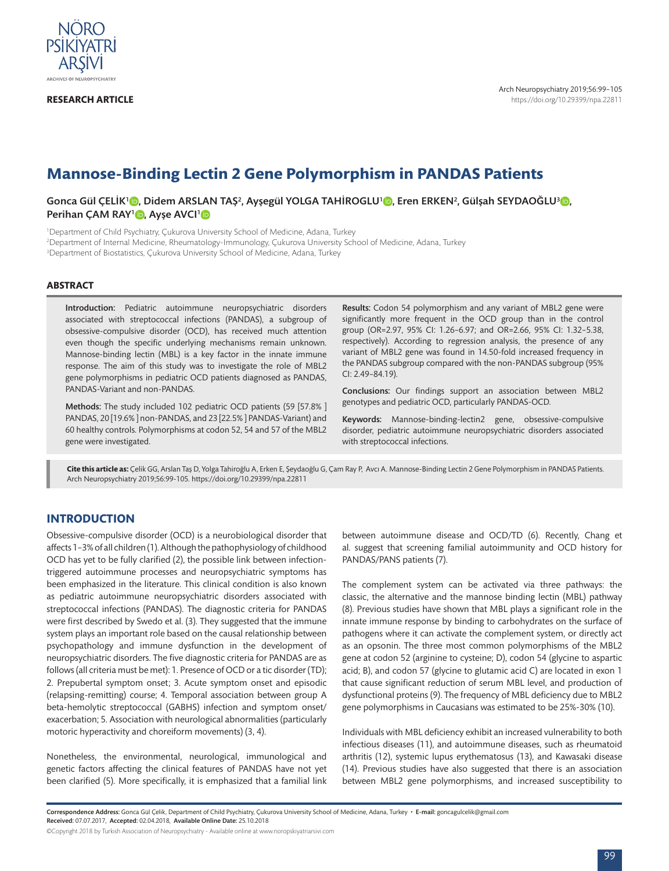

**RESEARCH ARTICLE**

# **Mannose-Binding Lectin 2 Gene Polymorphism in PANDAS Patients**

Gonca Gül ÇELİK'©, Didem ARSLAN TAŞ<sup>2</sup>, Ayşegül YOLGA TAHİROGLU'©, Eren ERKEN<sup>2</sup>, Gülşah SEYDAOĞLU<sup>[3](https://orcid.org/0000-0002-0899-894X)</sup>©, Perihan CAM RAY<sup>1</sup><sup>1</sup>, Ayse AVCI<sup>1</sup><sup>1</sup>

1 Department of Child Psychiatry, Çukurova University School of Medicine, Adana, Turkey

2 Department of Internal Medicine, Rheumatology-Immunology, Çukurova University School of Medicine, Adana, Turkey

3 Department of Biostatistics, Çukurova University School of Medicine, Adana, Turkey

## **ABSTRACT**

Introduction: Pediatric autoimmune neuropsychiatric disorders associated with streptococcal infections (PANDAS), a subgroup of obsessive-compulsive disorder (OCD), has received much attention even though the specific underlying mechanisms remain unknown. Mannose-binding lectin (MBL) is a key factor in the innate immune response. The aim of this study was to investigate the role of MBL2 gene polymorphisms in pediatric OCD patients diagnosed as PANDAS, PANDAS-Variant and non-PANDAS.

Methods: The study included 102 pediatric OCD patients (59 [57.8% ] PANDAS, 20 [19.6% ] non-PANDAS, and 23 [22.5% ] PANDAS-Variant) and 60 healthy controls. Polymorphisms at codon 52, 54 and 57 of the MBL2 gene were investigated.

Results: Codon 54 polymorphism and any variant of MBL2 gene were significantly more frequent in the OCD group than in the control group (OR=2.97, 95% CI: 1.26–6.97; and OR=2.66, 95% CI: 1.32–5.38, respectively). According to regression analysis, the presence of any variant of MBL2 gene was found in 14.50-fold increased frequency in the PANDAS subgroup compared with the non-PANDAS subgroup (95% CI: 2.49–84.19).

Conclusions: Our findings support an association between MBL2 genotypes and pediatric OCD, particularly PANDAS-OCD.

Keywords: Mannose-binding-lectin2 gene, obsessive-compulsive disorder, pediatric autoimmune neuropsychiatric disorders associated with streptococcal infections.

**Cite this article as:** Çelik GG, Arslan Taş D, Yolga Tahiroğlu A, Erken E, Şeydaoğlu G, Çam Ray P, Avcı A. Mannose-Binding Lectin 2 Gene Polymorphism in PANDAS Patients. Arch Neuropsychiatry 2019;56:99-105. https://doi.org/10.29399/npa.22811

# **INTRODUCTION**

Obsessive-compulsive disorder (OCD) is a neurobiological disorder that affects 1–3% of all children (1). Although the pathophysiology of childhood OCD has yet to be fully clarified (2), the possible link between infectiontriggered autoimmune processes and neuropsychiatric symptoms has been emphasized in the literature. This clinical condition is also known as pediatric autoimmune neuropsychiatric disorders associated with streptococcal infections (PANDAS). The diagnostic criteria for PANDAS were first described by Swedo et al. (3). They suggested that the immune system plays an important role based on the causal relationship between psychopathology and immune dysfunction in the development of neuropsychiatric disorders. The five diagnostic criteria for PANDAS are as follows (all criteria must be met): 1. Presence of OCD or a tic disorder (TD); 2. Prepubertal symptom onset; 3. Acute symptom onset and episodic (relapsing-remitting) course; 4. Temporal association between group A beta-hemolytic streptococcal (GABHS) infection and symptom onset/ exacerbation; 5. Association with neurological abnormalities (particularly motoric hyperactivity and choreiform movements) (3, 4).

Nonetheless, the environmental, neurological, immunological and genetic factors affecting the clinical features of PANDAS have not yet been clarified (5). More specifically, it is emphasized that a familial link between autoimmune disease and OCD/TD (6). Recently, Chang et al. suggest that screening familial autoimmunity and OCD history for PANDAS/PANS patients (7).

The complement system can be activated via three pathways: the classic, the alternative and the mannose binding lectin (MBL) pathway (8). Previous studies have shown that MBL plays a significant role in the innate immune response by binding to carbohydrates on the surface of pathogens where it can activate the complement system, or directly act as an opsonin. The three most common polymorphisms of the MBL2 gene at codon 52 (arginine to cysteine; D), codon 54 (glycine to aspartic acid; B), and codon 57 (glycine to glutamic acid C) are located in exon 1 that cause significant reduction of serum MBL level, and production of dysfunctional proteins (9). The frequency of MBL deficiency due to MBL2 gene polymorphisms in Caucasians was estimated to be 25%-30% (10).

Individuals with MBL deficiency exhibit an increased vulnerability to both infectious diseases (11), and autoimmune diseases, such as rheumatoid arthritis (12), systemic lupus erythematosus (13), and Kawasaki disease (14). Previous studies have also suggested that there is an association between MBL2 gene polymorphisms, and increased susceptibility to

Correspondence Address: Gonca Gül Çelik, Department of Child Psychiatry, Çukurova University School of Medicine, Adana, Turkey · E-mail: goncagulcelik@gmail.com Received: 07.07.2017, Accepted: 02.04.2018, Available Online Date: 25.10.2018

©Copyright 2018 by Turkish Association of Neuropsychiatry - Available online at www.noropskiyatriarsivi.com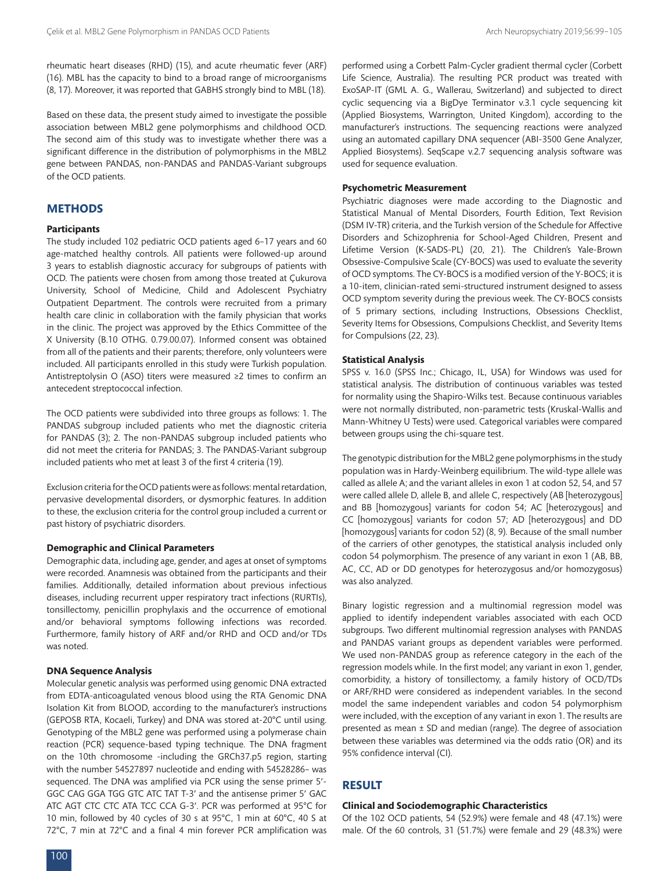rheumatic heart diseases (RHD) (15), and acute rheumatic fever (ARF) (16). MBL has the capacity to bind to a broad range of microorganisms (8, 17). Moreover, it was reported that GABHS strongly bind to MBL (18).

Based on these data, the present study aimed to investigate the possible association between MBL2 gene polymorphisms and childhood OCD. The second aim of this study was to investigate whether there was a significant difference in the distribution of polymorphisms in the MBL2 gene between PANDAS, non-PANDAS and PANDAS-Variant subgroups of the OCD patients.

# **METHODS**

#### **Participants**

The study included 102 pediatric OCD patients aged 6–17 years and 60 age-matched healthy controls. All patients were followed-up around 3 years to establish diagnostic accuracy for subgroups of patients with OCD. The patients were chosen from among those treated at Çukurova University, School of Medicine, Child and Adolescent Psychiatry Outpatient Department. The controls were recruited from a primary health care clinic in collaboration with the family physician that works in the clinic. The project was approved by the Ethics Committee of the X University (B.10 OTHG. 0.79.00.07). Informed consent was obtained from all of the patients and their parents; therefore, only volunteers were included. All participants enrolled in this study were Turkish population. Antistreptolysin O (ASO) titers were measured ≥2 times to confirm an antecedent streptococcal infection.

The OCD patients were subdivided into three groups as follows: 1. The PANDAS subgroup included patients who met the diagnostic criteria for PANDAS (3); 2. The non-PANDAS subgroup included patients who did not meet the criteria for PANDAS; 3. The PANDAS-Variant subgroup included patients who met at least 3 of the first 4 criteria (19).

Exclusion criteria for the OCD patients were as follows: mental retardation, pervasive developmental disorders, or dysmorphic features. In addition to these, the exclusion criteria for the control group included a current or past history of psychiatric disorders.

## **Demographic and Clinical Parameters**

Demographic data, including age, gender, and ages at onset of symptoms were recorded. Anamnesis was obtained from the participants and their families. Additionally, detailed information about previous infectious diseases, including recurrent upper respiratory tract infections (RURTIs), tonsillectomy, penicillin prophylaxis and the occurrence of emotional and/or behavioral symptoms following infections was recorded. Furthermore, family history of ARF and/or RHD and OCD and/or TDs was noted.

### **DNA Sequence Analysis**

Molecular genetic analysis was performed using genomic DNA extracted from EDTA-anticoagulated venous blood using the RTA Genomic DNA Isolation Kit from BLOOD, according to the manufacturer's instructions (GEPOSB RTA, Kocaeli, Turkey) and DNA was stored at-20°C until using. Genotyping of the MBL2 gene was performed using a polymerase chain reaction (PCR) sequence-based typing technique. The DNA fragment on the 10th chromosome -including the GRCh37.p5 region, starting with the number 54527897 nucleotide and ending with 54528286– was sequenced. The DNA was amplified via PCR using the sense primer 5′- GGC CAG GGA TGG GTC ATC TAT T-3′ and the antisense primer 5′ GAC ATC AGT CTC CTC ATA TCC CCA G-3′. PCR was performed at 95°C for 10 min, followed by 40 cycles of 30 s at 95°C, 1 min at 60°C, 40 S at 72°C, 7 min at 72°C and a final 4 min forever PCR amplification was

performed using a Corbett Palm-Cycler gradient thermal cycler (Corbett Life Science, Australia). The resulting PCR product was treated with ExoSAP-IT (GML A. G., Wallerau, Switzerland) and subjected to direct cyclic sequencing via a BigDye Terminator v.3.1 cycle sequencing kit (Applied Biosystems, Warrington, United Kingdom), according to the manufacturer's instructions. The sequencing reactions were analyzed using an automated capillary DNA sequencer (ABI-3500 Gene Analyzer, Applied Biosystems). SeqScape v.2.7 sequencing analysis software was used for sequence evaluation.

#### **Psychometric Measurement**

Psychiatric diagnoses were made according to the Diagnostic and Statistical Manual of Mental Disorders, Fourth Edition, Text Revision (DSM IV-TR) criteria, and the Turkish version of the Schedule for Affective Disorders and Schizophrenia for School-Aged Children, Present and Lifetime Version (K-SADS-PL) (20, 21). The Children's Yale-Brown Obsessive-Compulsive Scale (CY-BOCS) was used to evaluate the severity of OCD symptoms. The CY-BOCS is a modified version of the Y-BOCS; it is a 10-item, clinician-rated semi-structured instrument designed to assess OCD symptom severity during the previous week. The CY-BOCS consists of 5 primary sections, including Instructions, Obsessions Checklist, Severity Items for Obsessions, Compulsions Checklist, and Severity Items for Compulsions (22, 23).

# **Statistical Analysis**

SPSS v. 16.0 (SPSS Inc.; Chicago, IL, USA) for Windows was used for statistical analysis. The distribution of continuous variables was tested for normality using the Shapiro-Wilks test. Because continuous variables were not normally distributed, non-parametric tests (Kruskal-Wallis and Mann-Whitney U Tests) were used. Categorical variables were compared between groups using the chi-square test.

The genotypic distribution for the MBL2 gene polymorphisms in the study population was in Hardy-Weinberg equilibrium. The wild-type allele was called as allele A; and the variant alleles in exon 1 at codon 52, 54, and 57 were called allele D, allele B, and allele C, respectively (AB [heterozygous] and BB [homozygous] variants for codon 54; AC [heterozygous] and CC [homozygous] variants for codon 57; AD [heterozygous] and DD [homozygous] variants for codon 52) (8, 9). Because of the small number of the carriers of other genotypes, the statistical analysis included only codon 54 polymorphism. The presence of any variant in exon 1 (AB, BB, AC, CC, AD or DD genotypes for heterozygosus and/or homozygosus) was also analyzed.

Binary logistic regression and a multinomial regression model was applied to identify independent variables associated with each OCD subgroups. Two different multinomial regression analyses with PANDAS and PANDAS variant groups as dependent variables were performed. We used non-PANDAS group as reference category in the each of the regression models while. In the first model; any variant in exon 1, gender, comorbidity, a history of tonsillectomy, a family history of OCD/TDs or ARF/RHD were considered as independent variables. In the second model the same independent variables and codon 54 polymorphism were included, with the exception of any variant in exon 1. The results are presented as mean ± SD and median (range). The degree of association between these variables was determined via the odds ratio (OR) and its 95% confidence interval (CI).

# **RESULT**

### **Clinical and Sociodemographic Characteristics**

Of the 102 OCD patients, 54 (52.9%) were female and 48 (47.1%) were male. Of the 60 controls, 31 (51.7%) were female and 29 (48.3%) were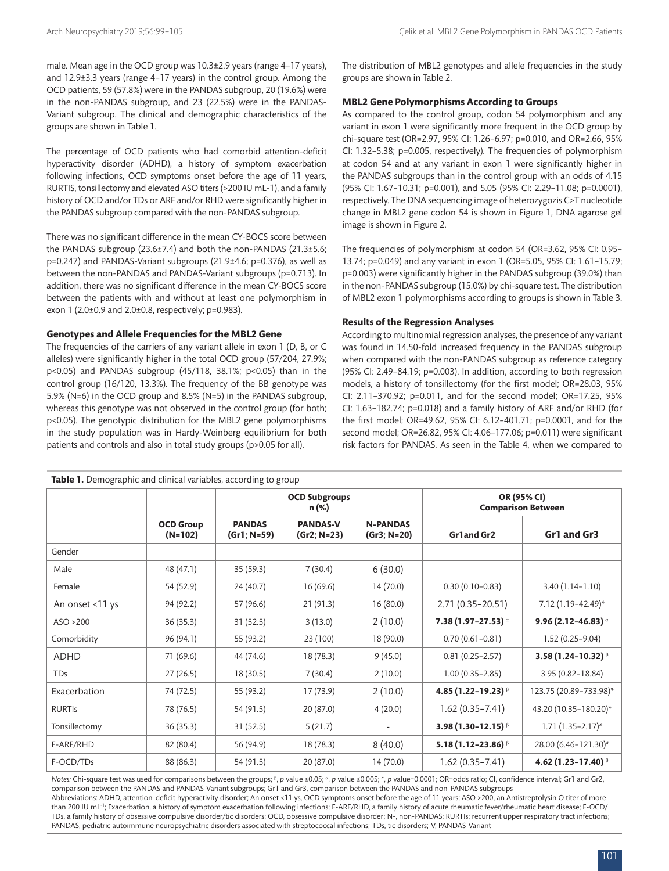male. Mean age in the OCD group was 10.3±2.9 years (range 4–17 years), and 12.9±3.3 years (range 4–17 years) in the control group. Among the OCD patients, 59 (57.8%) were in the PANDAS subgroup, 20 (19.6%) were in the non-PANDAS subgroup, and 23 (22.5%) were in the PANDAS-Variant subgroup. The clinical and demographic characteristics of the groups are shown in Table 1.

The percentage of OCD patients who had comorbid attention-deficit hyperactivity disorder (ADHD), a history of symptom exacerbation following infections, OCD symptoms onset before the age of 11 years, RURTIS, tonsillectomy and elevated ASO titers (>200 IU mL-1), and a family history of OCD and/or TDs or ARF and/or RHD were significantly higher in the PANDAS subgroup compared with the non-PANDAS subgroup.

There was no significant difference in the mean CY-BOCS score between the PANDAS subgroup (23.6±7.4) and both the non-PANDAS (21.3±5.6; p=0.247) and PANDAS-Variant subgroups (21.9±4.6; p=0.376), as well as between the non-PANDAS and PANDAS-Variant subgroups (p=0.713). In addition, there was no significant difference in the mean CY-BOCS score between the patients with and without at least one polymorphism in exon 1 (2.0±0.9 and 2.0±0.8, respectively; p=0.983).

#### **Genotypes and Allele Frequencies for the MBL2 Gene**

The frequencies of the carriers of any variant allele in exon 1 (D, B, or C alleles) were significantly higher in the total OCD group (57/204, 27.9%; p<0.05) and PANDAS subgroup (45/118, 38.1%; p<0.05) than in the control group (16/120, 13.3%). The frequency of the BB genotype was 5.9% (N=6) in the OCD group and 8.5% (N=5) in the PANDAS subgroup, whereas this genotype was not observed in the control group (for both; p<0.05). The genotypic distribution for the MBL2 gene polymorphisms in the study population was in Hardy-Weinberg equilibrium for both patients and controls and also in total study groups (p>0.05 for all).

The distribution of MBL2 genotypes and allele frequencies in the study groups are shown in Table 2.

#### **MBL2 Gene Polymorphisms According to Groups**

As compared to the control group, codon 54 polymorphism and any variant in exon 1 were significantly more frequent in the OCD group by chi-square test (OR=2.97, 95% CI: 1.26–6.97; p=0.010, and OR=2.66, 95% CI: 1.32–5.38; p=0.005, respectively). The frequencies of polymorphism at codon 54 and at any variant in exon 1 were significantly higher in the PANDAS subgroups than in the control group with an odds of 4.15 (95% CI: 1.67–10.31; p=0.001), and 5.05 (95% CI: 2.29–11.08; p=0.0001), respectively. The DNA sequencing image of heterozygozis C>T nucleotide change in MBL2 gene codon 54 is shown in Figure 1, DNA agarose gel image is shown in Figure 2.

The frequencies of polymorphism at codon 54 (OR=3.62, 95% CI: 0.95– 13.74; p=0.049) and any variant in exon 1 (OR=5.05, 95% CI: 1.61–15.79; p=0.003) were significantly higher in the PANDAS subgroup (39.0%) than in the non-PANDAS subgroup (15.0%) by chi-square test. The distribution of MBL2 exon 1 polymorphisms according to groups is shown in Table 3.

#### **Results of the Regression Analyses**

According to multinomial regression analyses, the presence of any variant was found in 14.50-fold increased frequency in the PANDAS subgroup when compared with the non-PANDAS subgroup as reference category (95% CI: 2.49–84.19; p=0.003). In addition, according to both regression models, a history of tonsillectomy (for the first model; OR=28.03, 95% CI: 2.11–370.92; p=0.011, and for the second model; OR=17.25, 95% CI: 1.63–182.74; p=0.018) and a family history of ARF and/or RHD (for the first model; OR=49.62, 95% CI: 6.12–401.71; p=0.0001, and for the second model; OR=26.82, 95% CI: 4.06–177.06; p=0.011) were significant risk factors for PANDAS. As seen in the Table 4, when we compared to

|                 |                               | <b>OCD Subgroups</b><br>n (%) |                                |                                | OR (95% CI)<br><b>Comparison Between</b> |                            |  |
|-----------------|-------------------------------|-------------------------------|--------------------------------|--------------------------------|------------------------------------------|----------------------------|--|
|                 | <b>OCD Group</b><br>$(N=102)$ | <b>PANDAS</b><br>(Gr1; N=59)  | <b>PANDAS-V</b><br>(Gr2; N=23) | <b>N-PANDAS</b><br>(Gr3; N=20) | <b>Gr1and Gr2</b>                        | Gr1 and Gr3                |  |
| Gender          |                               |                               |                                |                                |                                          |                            |  |
| Male            | 48 (47.1)                     | 35 (59.3)                     | 7(30.4)                        | 6(30.0)                        |                                          |                            |  |
| Female          | 54 (52.9)                     | 24 (40.7)                     | 16(69.6)                       | 14(70.0)                       | $0.30(0.10 - 0.83)$                      | $3.40(1.14 - 1.10)$        |  |
| An onset <11 ys | 94 (92.2)                     | 57 (96.6)                     | 21(91.3)                       | 16(80.0)                       | $2.71(0.35 - 20.51)$                     | 7.12 (1.19-42.49)*         |  |
| ASO > 200       | 36(35.3)                      | 31(52.5)                      | 3(13.0)                        | 2(10.0)                        | $7.38(1.97 - 27.53)$ $^{\circ}$          | 9.96 (2.12-46.83) $\alpha$ |  |
| Comorbidity     | 96 (94.1)                     | 55 (93.2)                     | 23 (100)                       | 18(90.0)                       | $0.70(0.61 - 0.81)$                      | $1.52(0.25 - 9.04)$        |  |
| <b>ADHD</b>     | 71 (69.6)                     | 44 (74.6)                     | 18(78.3)                       | 9(45.0)                        | $0.81(0.25 - 2.57)$                      | 3.58 (1.24-10.32) $\beta$  |  |
| TDs             | 27(26.5)                      | 18 (30.5)                     | 7(30.4)                        | 2(10.0)                        | $1.00(0.35 - 2.85)$                      | 3.95 (0.82-18.84)          |  |
| Exacerbation    | 74 (72.5)                     | 55 (93.2)                     | 17 (73.9)                      | 2(10.0)                        | 4.85 (1.22-19.23) $\beta$                | 123.75 (20.89-733.98)*     |  |
| <b>RURTIS</b>   | 78 (76.5)                     | 54 (91.5)                     | 20(87.0)                       | 4(20.0)                        | $1.62(0.35 - 7.41)$                      | 43.20 (10.35-180.20)*      |  |
| Tonsillectomy   | 36 (35.3)                     | 31(52.5)                      | 5(21.7)                        | $\overline{\phantom{a}}$       | 3.98 (1.30-12.15) $\beta$                | $1.71(1.35 - 2.17)^{*}$    |  |
| F-ARF/RHD       | 82 (80.4)                     | 56 (94.9)                     | 18 (78.3)                      | 8(40.0)                        | 5.18 (1.12-23.86) $\beta$                | 28.00 (6.46-121.30)*       |  |
| F-OCD/TDs       | 88 (86.3)                     | 54 (91.5)                     | 20(87.0)                       | 14 (70.0)                      | $1.62(0.35 - 7.41)$                      | 4.62 (1.23-17.40) B        |  |

Notes: Chi-square test was used for comparisons between the groups; <sup>β</sup>, *p* value ≤0.05; <sup>α</sup>, *p* value ≤0.005; \*, *p* value=0.0001; OR=odds ratio; CI, confidence interval; Gr1 and Gr2, comparison between the PANDAS and PANDAS-Variant subgroups; Gr1 and Gr3, comparison between the PANDAS and non-PANDAS subgroups Abbreviations: ADHD, attention-deficit hyperactivity disorder; An onset <11 ys, OCD symptoms onset before the age of 11 years; ASO >200, an Antistreptolysin O titer of more

than 200 IU mL<sup>-1</sup>; Exacerbation, a history of symptom exacerbation following infections; F-ARF/RHD, a family history of acute rheumatic fever/rheumatic heart disease; F-OCD/ TDs, a family history of obsessive compulsive disorder/tic disorders; OCD, obsessive compulsive disorder; N-, non-PANDAS; RURTIs; recurrent upper respiratory tract infections; PANDAS, pediatric autoimmune neuropsychiatric disorders associated with streptococcal infections;-TDs, tic disorders;-V, PANDAS-Variant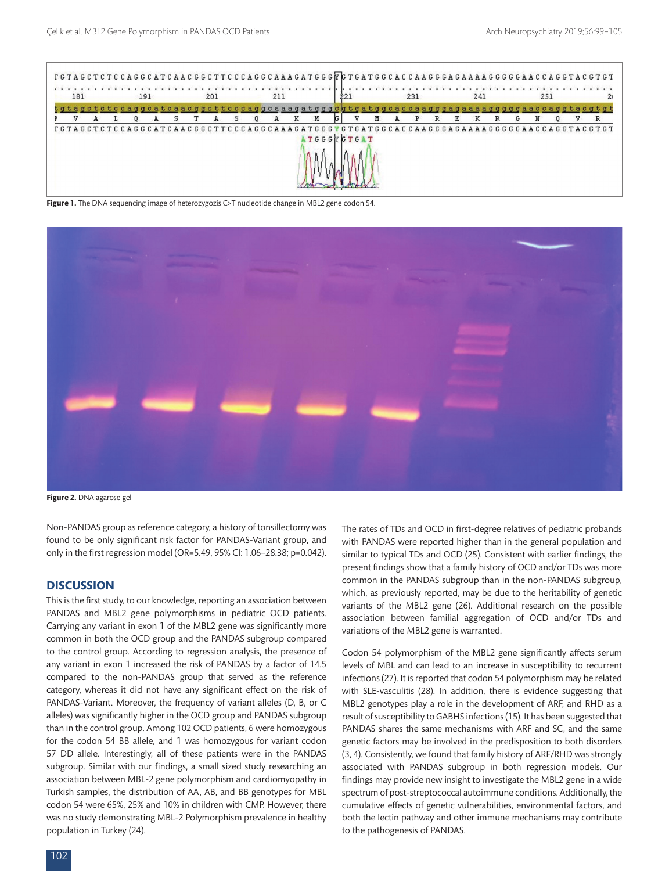

**Figure 1.** The DNA sequencing image of heterozygozis C>T nucleotide change in MBL2 gene codon 54.



**Figure 2.** DNA agarose gel

Non-PANDAS group as reference category, a history of tonsillectomy was found to be only significant risk factor for PANDAS-Variant group, and only in the first regression model (OR=5.49, 95% CI: 1.06–28.38; p=0.042).

# **DISCUSSION**

This is the first study, to our knowledge, reporting an association between PANDAS and MBL2 gene polymorphisms in pediatric OCD patients. Carrying any variant in exon 1 of the MBL2 gene was significantly more common in both the OCD group and the PANDAS subgroup compared to the control group. According to regression analysis, the presence of any variant in exon 1 increased the risk of PANDAS by a factor of 14.5 compared to the non-PANDAS group that served as the reference category, whereas it did not have any significant effect on the risk of PANDAS-Variant. Moreover, the frequency of variant alleles (D, B, or C alleles) was significantly higher in the OCD group and PANDAS subgroup than in the control group. Among 102 OCD patients, 6 were homozygous for the codon 54 BB allele, and 1 was homozygous for variant codon 57 DD allele. Interestingly, all of these patients were in the PANDAS subgroup. Similar with our findings, a small sized study researching an association between MBL-2 gene polymorphism and cardiomyopathy in Turkish samples, the distribution of AA, AB, and BB genotypes for MBL codon 54 were 65%, 25% and 10% in children with CMP. However, there was no study demonstrating MBL-2 Polymorphism prevalence in healthy population in Turkey (24).

The rates of TDs and OCD in first-degree relatives of pediatric probands with PANDAS were reported higher than in the general population and similar to typical TDs and OCD (25). Consistent with earlier findings, the present findings show that a family history of OCD and/or TDs was more common in the PANDAS subgroup than in the non-PANDAS subgroup, which, as previously reported, may be due to the heritability of genetic variants of the MBL2 gene (26). Additional research on the possible association between familial aggregation of OCD and/or TDs and variations of the MBL2 gene is warranted.

Codon 54 polymorphism of the MBL2 gene significantly affects serum levels of MBL and can lead to an increase in susceptibility to recurrent infections (27). It is reported that codon 54 polymorphism may be related with SLE-vasculitis (28). In addition, there is evidence suggesting that MBL2 genotypes play a role in the development of ARF, and RHD as a result of susceptibility to GABHS infections (15). It has been suggested that PANDAS shares the same mechanisms with ARF and SC, and the same genetic factors may be involved in the predisposition to both disorders (3, 4). Consistently, we found that family history of ARF/RHD was strongly associated with PANDAS subgroup in both regression models. Our findings may provide new insight to investigate the MBL2 gene in a wide spectrum of post-streptococcal autoimmune conditions. Additionally, the cumulative effects of genetic vulnerabilities, environmental factors, and both the lectin pathway and other immune mechanisms may contribute to the pathogenesis of PANDAS.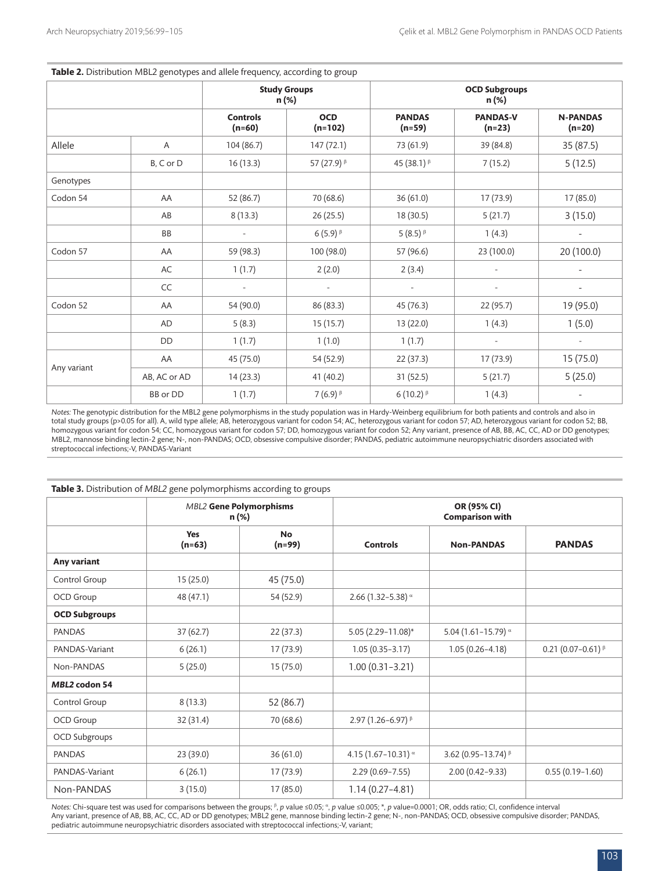| Table 2. Distribution MBL2 genotypes and allele frequency, according to group |              |                             |                              |                           |                               |                             |  |  |
|-------------------------------------------------------------------------------|--------------|-----------------------------|------------------------------|---------------------------|-------------------------------|-----------------------------|--|--|
|                                                                               |              |                             | <b>Study Groups</b><br>n (%) |                           | <b>OCD Subgroups</b><br>n (%) |                             |  |  |
|                                                                               |              | <b>Controls</b><br>$(n=60)$ | <b>OCD</b><br>$(n=102)$      | <b>PANDAS</b><br>$(n=59)$ | <b>PANDAS-V</b><br>$(n=23)$   | <b>N-PANDAS</b><br>$(n=20)$ |  |  |
| Allele                                                                        | Α            | 104 (86.7)                  | 147(72.1)                    | 73 (61.9)                 | 39 (84.8)                     | 35 (87.5)                   |  |  |
|                                                                               | B, C or D    | 16(13.3)                    | 57 (27.9) B                  | 45 (38.1) B               | 7(15.2)                       | 5(12.5)                     |  |  |
| Genotypes                                                                     |              |                             |                              |                           |                               |                             |  |  |
| Codon 54                                                                      | AA           | 52 (86.7)                   | 70 (68.6)                    | 36(61.0)                  | 17(73.9)                      | 17 (85.0)                   |  |  |
|                                                                               | AB           | 8(13.3)                     | 26 (25.5)                    | 18 (30.5)                 | 5(21.7)                       | 3(15.0)                     |  |  |
|                                                                               | BB           | $\sim$                      | $6(5.9)^{6}$                 | 5 $(8.5)^{\beta}$         | 1(4.3)                        | $\overline{\phantom{a}}$    |  |  |
| Codon 57                                                                      | AA           | 59 (98.3)                   | 100 (98.0)                   | 57 (96.6)                 | 23 (100.0)                    | 20 (100.0)                  |  |  |
|                                                                               | AC           | 1(1.7)                      | 2(2.0)                       | 2(3.4)                    | $\overline{\phantom{a}}$      |                             |  |  |
|                                                                               | CC           |                             | $\overline{\phantom{a}}$     | $\overline{\phantom{a}}$  |                               | $\overline{\phantom{a}}$    |  |  |
| Codon 52                                                                      | AA           | 54 (90.0)                   | 86 (83.3)                    | 45 (76.3)                 | 22 (95.7)                     | 19 (95.0)                   |  |  |
|                                                                               | <b>AD</b>    | 5(8.3)                      | 15(15.7)                     | 13 (22.0)                 | 1(4.3)                        | 1(5.0)                      |  |  |
|                                                                               | <b>DD</b>    | 1(1.7)                      | 1(1.0)                       | 1(1.7)                    | $\overline{\phantom{a}}$      | $\overline{a}$              |  |  |
| Any variant                                                                   | AA           | 45 (75.0)                   | 54 (52.9)                    | 22(37.3)                  | 17 (73.9)                     | 15 (75.0)                   |  |  |
|                                                                               | AB, AC or AD | 14(23.3)                    | 41 (40.2)                    | 31(52.5)                  | 5(21.7)                       | 5(25.0)                     |  |  |
|                                                                               | BB or DD     | 1(1.7)                      | $7(6.9)^8$                   | 6 (10.2) $\beta$          | 1(4.3)                        |                             |  |  |

*Notes:* The genotypic distribution for the MBL2 gene polymorphisms in the study population was in Hardy-Weinberg equilibrium for both patients and controls and also in total study groups (p>0.05 for all). A, wild type allele; AB, heterozygous variant for codon 54; AC, heterozygous variant for codon 57; AD, heterozygous variant for codon 52; BB, homozygous variant for codon 54; CC, homozygous variant for codon 57; DD, homozygous variant for codon 52; Any variant, presence of AB, BB, AC, CC, AD or DD genotypes; MBL2, mannose binding lectin-2 gene; N-, non-PANDAS; OCD, obsessive compulsive disorder; PANDAS, pediatric autoimmune neuropsychiatric disorders associated with streptococcal infections;-V, PANDAS-Variant

|                      |                        | <b>MBL2 Gene Polymorphisms</b><br>n (%) | OR (95% CI)<br><b>Comparison with</b> |                            |                          |  |  |
|----------------------|------------------------|-----------------------------------------|---------------------------------------|----------------------------|--------------------------|--|--|
|                      | <b>Yes</b><br>$(n=63)$ | <b>No</b><br>$(n=99)$                   | <b>Controls</b>                       | <b>Non-PANDAS</b>          | <b>PANDAS</b>            |  |  |
| Any variant          |                        |                                         |                                       |                            |                          |  |  |
| Control Group        | 15(25.0)               | 45 (75.0)                               |                                       |                            |                          |  |  |
| OCD Group            | 48 (47.1)              | 54 (52.9)                               | 2.66 (1.32-5.38) $\alpha$             |                            |                          |  |  |
| <b>OCD Subgroups</b> |                        |                                         |                                       |                            |                          |  |  |
| <b>PANDAS</b>        | 37(62.7)               | 22(37.3)                                | 5.05 (2.29-11.08)*                    | 5.04 (1.61-15.79) $\alpha$ |                          |  |  |
| PANDAS-Variant       | 6(26.1)                | 17(73.9)                                | $1.05(0.35 - 3.17)$                   | $1.05(0.26 - 4.18)$        | 0.21 (0.07-0.61) $\beta$ |  |  |
| Non-PANDAS           | 5(25.0)                | 15(75.0)                                | $1.00(0.31 - 3.21)$                   |                            |                          |  |  |
| <b>MBL2 codon 54</b> |                        |                                         |                                       |                            |                          |  |  |
| Control Group        | 8(13.3)                | 52 (86.7)                               |                                       |                            |                          |  |  |
| OCD Group            | 32 (31.4)              | 70 (68.6)                               | 2.97 (1.26-6.97) $\beta$              |                            |                          |  |  |
| OCD Subgroups        |                        |                                         |                                       |                            |                          |  |  |
| <b>PANDAS</b>        | 23 (39.0)              | 36(61.0)                                | 4.15 (1.67-10.31) $\alpha$            | 3.62 (0.95-13.74) $\beta$  |                          |  |  |
| PANDAS-Variant       | 6(26.1)                | 17 (73.9)                               | $2.29(0.69 - 7.55)$                   | $2.00(0.42 - 9.33)$        | $0.55(0.19 - 1.60)$      |  |  |
| Non-PANDAS           | 3(15.0)                | 17(85.0)                                | $1.14(0.27 - 4.81)$                   |                            |                          |  |  |

Notes: Chi-square test was used for comparisons between the groups; <sup>β</sup>, *p* value ≤0.05; <sup>α</sup>, *p* value ≤0.005; \*, *p* value=0.0001; OR, odds ratio; CI, confidence interval Any variant, presence of AB, BB, AC, CC, AD or DD genotypes; MBL2 gene, mannose binding lectin-2 gene; N-, non-PANDAS; OCD, obsessive compulsive disorder; PANDAS, pediatric autoimmune neuropsychiatric disorders associated with streptococcal infections;-V, variant;

### **Table 3.** Distribution of *MBL2* gene polymorphisms according to groups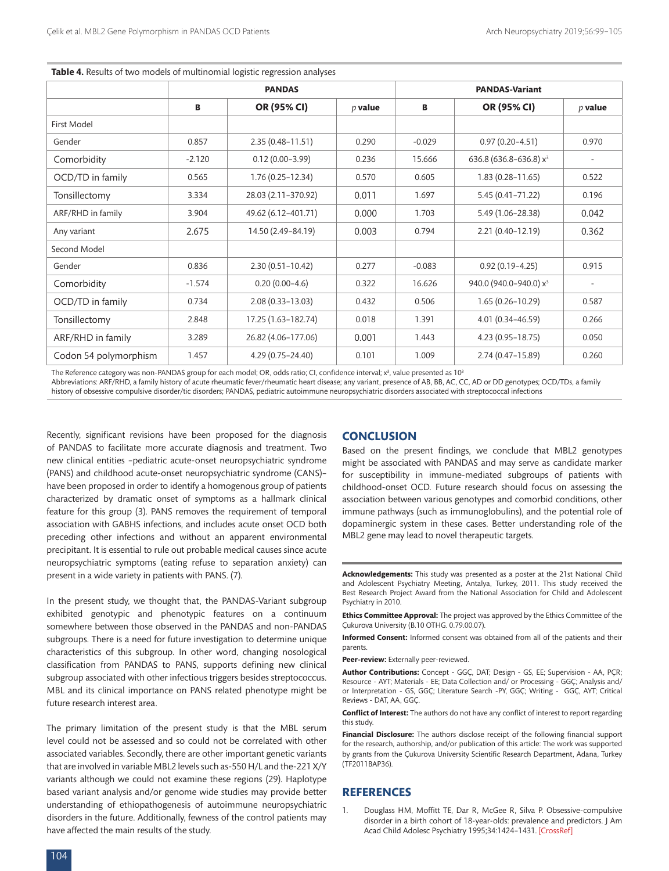|                       | <b>PANDAS</b> |                      |           | <b>PANDAS-Variant</b> |                                    |           |  |
|-----------------------|---------------|----------------------|-----------|-----------------------|------------------------------------|-----------|--|
|                       | В             | OR (95% CI)          | $p$ value | В                     | OR (95% CI)                        | $p$ value |  |
| First Model           |               |                      |           |                       |                                    |           |  |
| Gender                | 0.857         | $2.35(0.48 - 11.51)$ | 0.290     | $-0.029$              | $0.97(0.20 - 4.51)$                | 0.970     |  |
| Comorbidity           | $-2.120$      | $0.12(0.00 - 3.99)$  | 0.236     | 15.666                | 636.8 (636.8-636.8) x <sup>3</sup> |           |  |
| OCD/TD in family      | 0.565         | $1.76(0.25 - 12.34)$ | 0.570     | 0.605                 | $1.83(0.28 - 11.65)$               | 0.522     |  |
| Tonsillectomy         | 3.334         | 28.03 (2.11-370.92)  | 0.011     | 1.697                 | $5.45(0.41 - 71.22)$               | 0.196     |  |
| ARF/RHD in family     | 3.904         | 49.62 (6.12-401.71)  | 0.000     | 1.703                 | 5.49 (1.06-28.38)                  | 0.042     |  |
| Any variant           | 2.675         | 14.50 (2.49-84.19)   | 0.003     | 0.794                 | 2.21 (0.40-12.19)                  | 0.362     |  |
| Second Model          |               |                      |           |                       |                                    |           |  |
| Gender                | 0.836         | $2.30(0.51 - 10.42)$ | 0.277     | $-0.083$              | $0.92(0.19 - 4.25)$                | 0.915     |  |
| Comorbidity           | $-1.574$      | $0.20(0.00-4.6)$     | 0.322     | 16.626                | 940.0 (940.0-940.0) x <sup>3</sup> |           |  |
| OCD/TD in family      | 0.734         | $2.08(0.33 - 13.03)$ | 0.432     | 0.506                 | $1.65(0.26 - 10.29)$               | 0.587     |  |
| Tonsillectomy         | 2.848         | 17.25 (1.63-182.74)  | 0.018     | 1.391                 | $4.01(0.34 - 46.59)$               | 0.266     |  |
| ARF/RHD in family     | 3.289         | 26.82 (4.06-177.06)  | 0.001     | 1.443                 | 4.23 (0.95-18.75)                  | 0.050     |  |
| Codon 54 polymorphism | 1.457         | $4.29(0.75 - 24.40)$ | 0.101     | 1.009                 | 2.74 (0.47-15.89)                  | 0.260     |  |

**Table 4.** Results of two models of multinomial logistic regression analyses

The Reference category was non-PANDAS group for each model; OR, odds ratio; CI, confidence interval;  $\mathrm{x}^{\mathrm{3}}$ , value presented as 10 $^{\mathrm{3}}$ Abbreviations: ARF/RHD, a family history of acute rheumatic fever/rheumatic heart disease; any variant, presence of AB, BB, AC, CC, AD or DD genotypes; OCD/TDs, a family history of obsessive compulsive disorder/tic disorders; PANDAS, pediatric autoimmune neuropsychiatric disorders associated with streptococcal infections

Recently, significant revisions have been proposed for the diagnosis of PANDAS to facilitate more accurate diagnosis and treatment. Two new clinical entities –pediatric acute-onset neuropsychiatric syndrome (PANS) and childhood acute-onset neuropsychiatric syndrome (CANS)– have been proposed in order to identify a homogenous group of patients characterized by dramatic onset of symptoms as a hallmark clinical feature for this group (3). PANS removes the requirement of temporal association with GABHS infections, and includes acute onset OCD both preceding other infections and without an apparent environmental precipitant. It is essential to rule out probable medical causes since acute neuropsychiatric symptoms (eating refuse to separation anxiety) can present in a wide variety in patients with PANS. (7).

In the present study, we thought that, the PANDAS-Variant subgroup exhibited genotypic and phenotypic features on a continuum somewhere between those observed in the PANDAS and non-PANDAS subgroups. There is a need for future investigation to determine unique characteristics of this subgroup. In other word, changing nosological classification from PANDAS to PANS, supports defining new clinical subgroup associated with other infectious triggers besides streptococcus. MBL and its clinical importance on PANS related phenotype might be future research interest area.

The primary limitation of the present study is that the MBL serum level could not be assessed and so could not be correlated with other associated variables. Secondly, there are other important genetic variants that are involved in variable MBL2 levels such as-550 H/L and the-221 X/Y variants although we could not examine these regions (29). Haplotype based variant analysis and/or genome wide studies may provide better understanding of ethiopathogenesis of autoimmune neuropsychiatric disorders in the future. Additionally, fewness of the control patients may have affected the main results of the study.

# **CONCLUSION**

Based on the present findings, we conclude that MBL2 genotypes might be associated with PANDAS and may serve as candidate marker for susceptibility in immune-mediated subgroups of patients with childhood-onset OCD. Future research should focus on assessing the association between various genotypes and comorbid conditions, other immune pathways (such as immunoglobulins), and the potential role of dopaminergic system in these cases. Better understanding role of the MBL2 gene may lead to novel therapeutic targets.

**Acknowledgements:** This study was presented as a poster at the 21st National Child and Adolescent Psychiatry Meeting, Antalya, Turkey, 2011. This study received the Best Research Project Award from the National Association for Child and Adolescent Psychiatry in 2010.

**Ethics Committee Approval:** The project was approved by the Ethics Committee of the Çukurova University (B.10 OTHG. 0.79.00.07).

**Informed Consent:** Informed consent was obtained from all of the patients and their parents.

**Peer-review:** Externally peer-reviewed.

**Author Contributions:** Concept - GGÇ, DAT; Design - GS, EE; Supervision - AA, PÇR; Resource - AYT; Materials - EE; Data Collection and/ or Processing - GGÇ; Analysis and/ or Interpretation - GS, GGÇ; Literature Search -PY, GGÇ; Writing - GGÇ, AYT; Critical Reviews - DAT, AA, GGÇ.

**Conflict of Interest:** The authors do not have any conflict of interest to report regarding this study.

**Financial Disclosure:** The authors disclose receipt of the following financial support for the research, authorship, and/or publication of this article: The work was supported by grants from the Çukurova University Scientific Research Department, Adana, Turkey (TF2011BAP36).

## **REFERENCES**

1. Douglass HM, Moffitt TE, Dar R, McGee R, Silva P. Obsessive-compulsive disorder in a birth cohort of 18-year-olds: prevalence and predictors. J Am Acad Child Adolesc Psychiatry 1995;34:1424–1431. [\[CrossRef\]](https://doi.org/10.1097/00004583-199511000-00008)